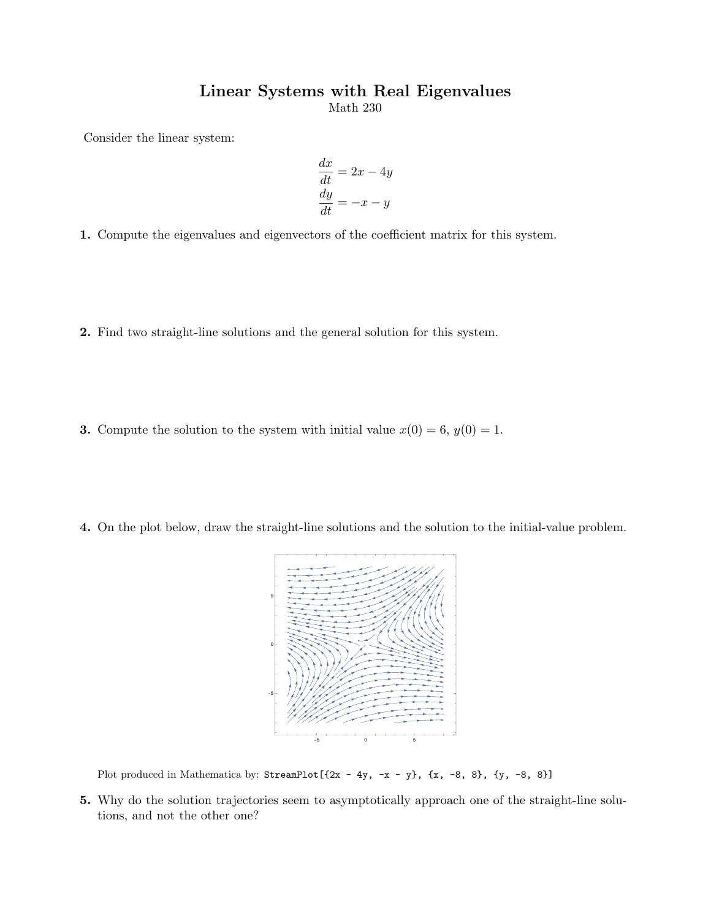## Linear Systems with Real Eigenvalues

Math 230

Consider the linear system:

$$
\frac{dx}{dt} = 2x - 4y
$$

$$
\frac{dy}{dt} = -x - y
$$

1. Compute the eigenvalues and eigenvectors of the coefficient matrix for this system.

- 2. Find two straight-line solutions and the general solution for this system.
- **3.** Compute the solution to the system with initial value  $x(0) = 6$ ,  $y(0) = 1$ .
- 4. On the plot below, draw the straight-line solutions and the solution to the initial-value problem.



Plot produced in Mathematica by: StreamPlot[ $\{2x - 4y, -x - y\}$ ,  $\{x, -8, 8\}$ ,  $\{y, -8, 8\}$ ]

5. Why do the solution trajectories seem to asymptotically approach one of the straight-line solutions, and not the other one?